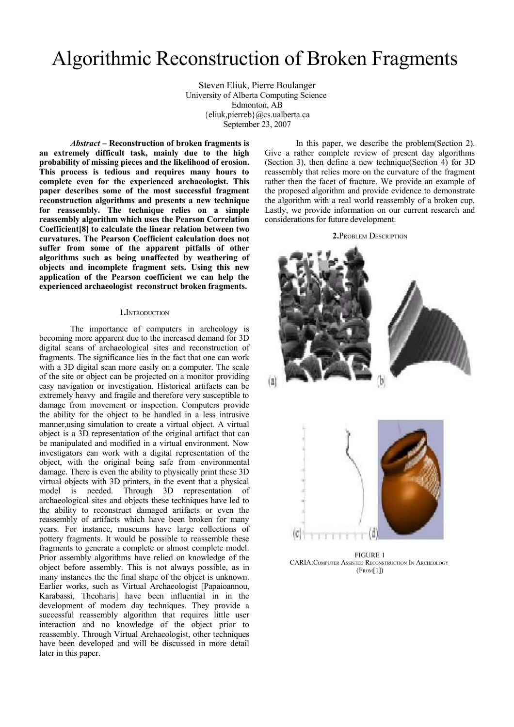# Algorithmic Reconstruction of Broken Fragments

Steven Eliuk, Pierre Boulanger University of Alberta Computing Science Edmonton, AB {eliuk,pierreb}@cs.ualberta.ca September 23, 2007

*Abstract* **– Reconstruction of broken fragments is an extremely difficult task, mainly due to the high probability of missing pieces and the likelihood of erosion. This process is tedious and requires many hours to complete even for the experienced archaeologist. This paper describes some of the most successful fragment reconstruction algorithms and presents a new technique for reassembly. The technique relies on a simple reassembly algorithm which uses the Pearson Correlation Coefficient[8] to calculate the linear relation between two curvatures. The Pearson Coefficient calculation does not suffer from some of the apparent pitfalls of other algorithms such as being unaffected by weathering of objects and incomplete fragment sets. Using this new application of the Pearson coefficient we can help the experienced archaeologist reconstruct broken fragments.**

#### **1.**INTRODUCTION

The importance of computers in archeology is becoming more apparent due to the increased demand for 3D digital scans of archaeological sites and reconstruction of fragments. The significance lies in the fact that one can work with a 3D digital scan more easily on a computer. The scale of the site or object can be projected on a monitor providing easy navigation or investigation. Historical artifacts can be extremely heavy and fragile and therefore very susceptible to damage from movement or inspection. Computers provide the ability for the object to be handled in a less intrusive manner,using simulation to create a virtual object. A virtual object is a 3D representation of the original artifact that can be manipulated and modified in a virtual environment. Now investigators can work with a digital representation of the object, with the original being safe from environmental damage. There is even the ability to physically print these 3D virtual objects with 3D printers, in the event that a physical model is needed. Through 3D representation of archaeological sites and objects these techniques have led to the ability to reconstruct damaged artifacts or even the reassembly of artifacts which have been broken for many years. For instance, museums have large collections of pottery fragments. It would be possible to reassemble these fragments to generate a complete or almost complete model. Prior assembly algorithms have relied on knowledge of the object before assembly. This is not always possible, as in many instances the the final shape of the object is unknown. Earlier works, such as Virtual Archaeologist [Papaioannou, Karabassi, Theoharis] have been influential in in the development of modern day techniques. They provide a successful reassembly algorithm that requires little user interaction and no knowledge of the object prior to reassembly. Through Virtual Archaeologist, other techniques have been developed and will be discussed in more detail later in this paper.

In this paper, we describe the problem(Section 2). Give a rather complete review of present day algorithms (Section 3), then define a new technique(Section 4) for 3D reassembly that relies more on the curvature of the fragment rather then the facet of fracture. We provide an example of the proposed algorithm and provide evidence to demonstrate the algorithm with a real world reassembly of a broken cup. Lastly, we provide information on our current research and considerations for future development.





FIGURE 1 CARIA:COMPUTER ASSISTED RECONSTRUCTION I<sup>N</sup> ARCHEOLOGY (FROM[1])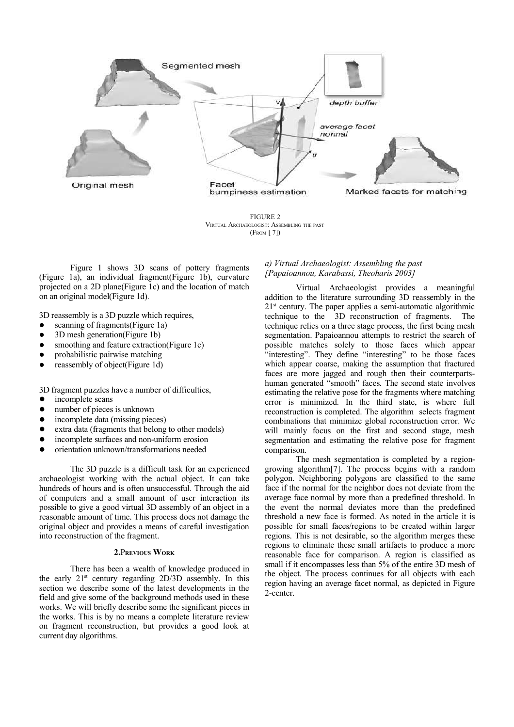

FIGURE 2 VIRTUAL ARCHAEOLOGIST: ASSEMBLING THE PAST (FROM [ 7])

Figure 1 shows 3D scans of pottery fragments (Figure 1a), an individual fragment(Figure 1b), curvature projected on a 2D plane(Figure 1c) and the location of match on an original model(Figure 1d).

3D reassembly is a 3D puzzle which requires,

- scanning of fragments(Figure 1a)
- l 3D mesh generation(Figure 1b)
- smoothing and feature extraction(Figure 1c)
- probabilistic pairwise matching
- $\bullet$  reassembly of object(Figure 1d)

3D fragment puzzles have a number of difficulties,

- $\bullet$  incomplete scans
- number of pieces is unknown
- incomplete data (missing pieces)
- extra data (fragments that belong to other models)
- incomplete surfaces and non-uniform erosion
- l orientation unknown/transformations needed

The 3D puzzle is a difficult task for an experienced archaeologist working with the actual object. It can take hundreds of hours and is often unsuccessful. Through the aid of computers and a small amount of user interaction its possible to give a good virtual 3D assembly of an object in a reasonable amount of time. This process does not damage the original object and provides a means of careful investigation into reconstruction of the fragment.

### **2.**P**REVIOUS WORK**

There has been a wealth of knowledge produced in the early  $21^{st}$  century regarding  $2D/3D$  assembly. In this section we describe some of the latest developments in the field and give some of the background methods used in these works. We will briefly describe some the significant pieces in the works. This is by no means a complete literature review on fragment reconstruction, but provides a good look at current day algorithms.

## *a) Virtual Archaeologist: Assembling the past [Papaioannou, Karabassi, Theoharis 2003]*

Virtual Archaeologist provides a meaningful addition to the literature surrounding 3D reassembly in the 21<sup>st</sup> century. The paper applies a semi-automatic algorithmic technique to the 3D reconstruction of fragments. The technique relies on a three stage process, the first being mesh segmentation. Papaioannou attempts to restrict the search of possible matches solely to those faces which appear "interesting". They define "interesting" to be those faces which appear coarse, making the assumption that fractured faces are more jagged and rough then their counterpartshuman generated "smooth" faces. The second state involves estimating the relative pose for the fragments where matching error is minimized. In the third state, is where full reconstruction is completed. The algorithm selects fragment combinations that minimize global reconstruction error. We will mainly focus on the first and second stage, mesh segmentation and estimating the relative pose for fragment comparison.

The mesh segmentation is completed by a regiongrowing algorithm[7]. The process begins with a random polygon. Neighboring polygons are classified to the same face if the normal for the neighbor does not deviate from the average face normal by more than a predefined threshold. In the event the normal deviates more than the predefined threshold a new face is formed. As noted in the article it is possible for small faces/regions to be created within larger regions. This is not desirable, so the algorithm merges these regions to eliminate these small artifacts to produce a more reasonable face for comparison. A region is classified as small if it encompasses less than 5% of the entire 3D mesh of the object. The process continues for all objects with each region having an average facet normal, as depicted in Figure 2-center.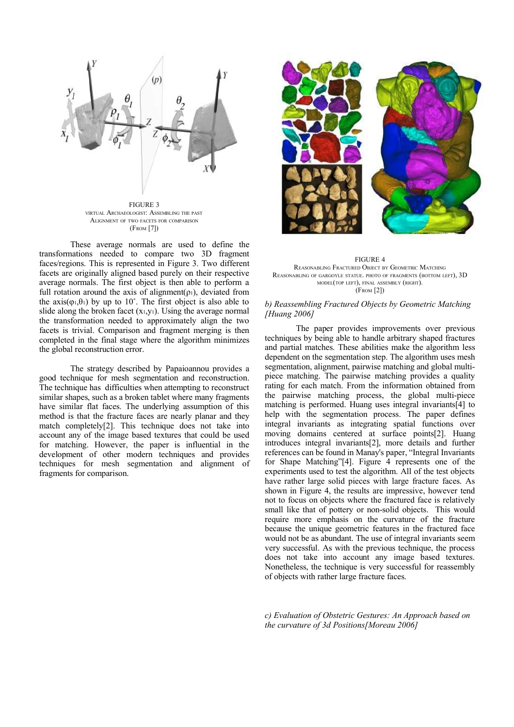

FIGURE 3 VIRTUAL ARCHAEOLOGIST: ASSEMBLING THE PAST ALIGNMENT OF TWO FACETS FOR COMPARISON (FROM [7])

These average normals are used to define the transformations needed to compare two 3D fragment faces/regions. This is represented in Figure 3. Two different facets are originally aligned based purely on their respective average normals. The first object is then able to perform a full rotation around the axis of alignment( $\rho_1$ ), deviated from the  $axis(\varphi_1,\theta_1)$  by up to 10°. The first object is also able to slide along the broken facet  $(x_1,y_1)$ . Using the average normal the transformation needed to approximately align the two facets is trivial. Comparison and fragment merging is then completed in the final stage where the algorithm minimizes the global reconstruction error.

The strategy described by Papaioannou provides a good technique for mesh segmentation and reconstruction. The technique has difficulties when attempting to reconstruct similar shapes, such as a broken tablet where many fragments have similar flat faces. The underlying assumption of this method is that the fracture faces are nearly planar and they match completely[2]. This technique does not take into account any of the image based textures that could be used for matching. However, the paper is influential in the development of other modern techniques and provides techniques for mesh segmentation and alignment of fragments for comparison.



FIGURE 4 REASONABLING FRACTURED OBJECT BY GEOMETRIC MATCHING REASONABLING OF GARGOYLE STATUE. PHOTO OF FRAGMENTS (BOTTOM LEFT), 3D MODEL(TOP LEFT), FINAL ASSEMBLY (RIGHT). (FROM [2])

## *b) Reassembling Fractured Objects by Geometric Matching [Huang 2006]*

The paper provides improvements over previous techniques by being able to handle arbitrary shaped fractures and partial matches. These abilities make the algorithm less dependent on the segmentation step. The algorithm uses mesh segmentation, alignment, pairwise matching and global multipiece matching. The pairwise matching provides a quality rating for each match. From the information obtained from the pairwise matching process, the global multi-piece matching is performed. Huang uses integral invariants[4] to help with the segmentation process. The paper defines integral invariants as integrating spatial functions over moving domains centered at surface points[2]. Huang introduces integral invariants[2], more details and further references can be found in Manay's paper, "Integral Invariants for Shape Matching"[4]. Figure 4 represents one of the experiments used to test the algorithm. All of the test objects have rather large solid pieces with large fracture faces. As shown in Figure 4, the results are impressive, however tend not to focus on objects where the fractured face is relatively small like that of pottery or non-solid objects. This would require more emphasis on the curvature of the fracture because the unique geometric features in the fractured face would not be as abundant. The use of integral invariants seem very successful. As with the previous technique, the process does not take into account any image based textures. Nonetheless, the technique is very successful for reassembly of objects with rather large fracture faces.

*c) Evaluation of Obstetric Gestures: An Approach based on the curvature of 3d Positions[Moreau 2006]*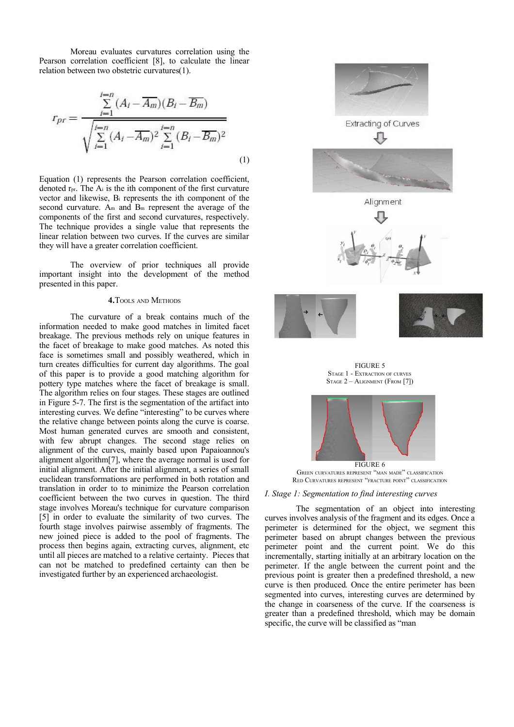Moreau evaluates curvatures correlation using the Pearson correlation coefficient [8], to calculate the linear relation between two obstetric curvatures(1).

$$
r_{pr} = \frac{\sum_{i=1}^{i=n} (A_i - \overline{A_m})(B_i - \overline{B_m})}{\sqrt{\sum_{i=1}^{i=n} (A_i - \overline{A_m})^2 \sum_{i=1}^{i=n} (B_i - \overline{B_m})^2}}
$$
(1)

Equation (1) represents the Pearson correlation coefficient, denoted rpr. The A<sup>i</sup> is the ith component of the first curvature vector and likewise, B<sup>i</sup> represents the ith component of the second curvature. A<sub>m</sub> and B<sub>m</sub> represent the average of the components of the first and second curvatures, respectively. The technique provides a single value that represents the linear relation between two curves. If the curves are similar they will have a greater correlation coefficient.

The overview of prior techniques all provide important insight into the development of the method presented in this paper.

### **4.**TOOLS AND METHODS

The curvature of a break contains much of the information needed to make good matches in limited facet breakage. The previous methods rely on unique features in the facet of breakage to make good matches. As noted this face is sometimes small and possibly weathered, which in turn creates difficulties for current day algorithms. The goal of this paper is to provide a good matching algorithm for pottery type matches where the facet of breakage is small. The algorithm relies on four stages. These stages are outlined in Figure 5-7. The first is the segmentation of the artifact into interesting curves. We define "interesting" to be curves where the relative change between points along the curve is coarse. Most human generated curves are smooth and consistent, with few abrupt changes. The second stage relies on alignment of the curves, mainly based upon Papaioannou's alignment algorithm[7], where the average normal is used for initial alignment. After the initial alignment, a series of small euclidean transformations are performed in both rotation and translation in order to to minimize the Pearson correlation coefficient between the two curves in question. The third stage involves Moreau's technique for curvature comparison [5] in order to evaluate the similarity of two curves. The fourth stage involves pairwise assembly of fragments. The new joined piece is added to the pool of fragments. The process then begins again, extracting curves, alignment, etc until all pieces are matched to a relative certainty. Pieces that can not be matched to predefined certainty can then be investigated further by an experienced archaeologist.







GREEN CURVATURES REPRESENT "MAN MADE" CLASSIFICATION RED CURVATURES REPRESENT "FRACTURE POINT" CLASSIFICATION

#### *I. Stage 1: Segmentation to find interesting curves*

The segmentation of an object into interesting curves involves analysis of the fragment and its edges. Once a perimeter is determined for the object, we segment this perimeter based on abrupt changes between the previous perimeter point and the current point. We do this incrementally, starting initially at an arbitrary location on the perimeter. If the angle between the current point and the previous point is greater then a predefined threshold, a new curve is then produced. Once the entire perimeter has been segmented into curves, interesting curves are determined by the change in coarseness of the curve. If the coarseness is greater than a predefined threshold, which may be domain specific, the curve will be classified as "man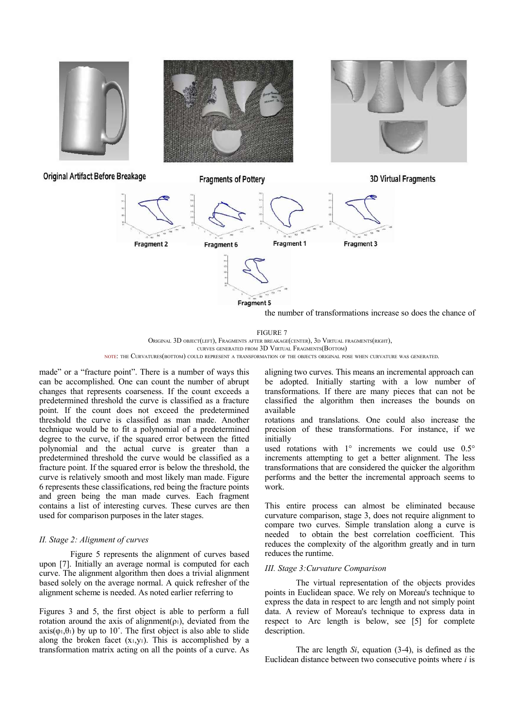

FIGURE 7 ORIGINAL 3D OBJECT(LEFT), FRAGMENTS AFTER BREAKAGE(CENTER), 3<sup>D</sup> VIRTUAL FRAGMENTS(RIGHT), CURVES GENERATED FROM 3D VIRTUAL FRAGMENTS(BOTTOM)

NOTE: THE CURVATURES(BOTTOM) COULD REPRESENT <sup>A</sup> TRANSFORMATION OF THE OBJECTS ORIGINAL POSE WHEN CURVATURE WAS GENERATED.

made" or a "fracture point". There is a number of ways this can be accomplished. One can count the number of abrupt changes that represents coarseness. If the count exceeds a predetermined threshold the curve is classified as a fracture point. If the count does not exceed the predetermined threshold the curve is classified as man made. Another technique would be to fit a polynomial of a predetermined degree to the curve, if the squared error between the fitted polynomial and the actual curve is greater than a predetermined threshold the curve would be classified as a fracture point. If the squared error is below the threshold, the curve is relatively smooth and most likely man made. Figure 6 represents these classifications, red being the fracture points and green being the man made curves. Each fragment contains a list of interesting curves. These curves are then used for comparison purposes in the later stages.

#### *II. Stage 2: Alignment of curves*

Figure 5 represents the alignment of curves based upon [7]. Initially an average normal is computed for each curve. The alignment algorithm then does a trivial alignment based solely on the average normal. A quick refresher of the alignment scheme is needed. As noted earlier referring to

Figures 3 and 5, the first object is able to perform a full rotation around the axis of alignment( $\rho_1$ ), deviated from the  $axis(\varphi_1,\theta_1)$  by up to 10°. The first object is also able to slide along the broken facet  $(x_1,y_1)$ . This is accomplished by a transformation matrix acting on all the points of a curve. As

aligning two curves. This means an incremental approach can be adopted. Initially starting with a low number of transformations. If there are many pieces that can not be classified the algorithm then increases the bounds on available

rotations and translations. One could also increase the precision of these transformations. For instance, if we initially

used rotations with 1° increments we could use 0.5° increments attempting to get a better alignment. The less transformations that are considered the quicker the algorithm performs and the better the incremental approach seems to work.

This entire process can almost be eliminated because curvature comparison, stage 3, does not require alignment to compare two curves. Simple translation along a curve is needed to obtain the best correlation coefficient. This reduces the complexity of the algorithm greatly and in turn reduces the runtime.

#### *III. Stage 3:Curvature Comparison*

The virtual representation of the objects provides points in Euclidean space. We rely on Moreau's technique to express the data in respect to arc length and not simply point data. A review of Moreau's technique to express data in respect to Arc length is below, see [5] for complete description.

The arc length *Si*, equation (3-4), is defined as the Euclidean distance between two consecutive points where *i* is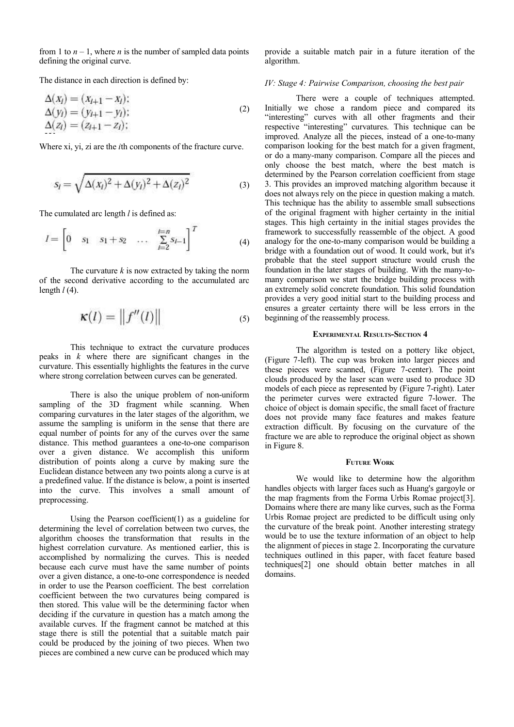from 1 to  $n - 1$ , where *n* is the number of sampled data points defining the original curve.

The distance in each direction is defined by:

**SYS AN AN** 

$$
\Delta(x_i) = (x_{i+1} - x_i); \n\Delta(y_i) = (y_{i+1} - y_i); \n\Delta(z_i) = (z_{i+1} - z_i);
$$
\n(2)

Where xi, yi, zi are the *i*th components of the fracture curve.

$$
s_i = \sqrt{\Delta(x_i)^2 + \Delta(y_i)^2 + \Delta(z_i)^2}
$$
 (3)

The cumulated arc length *l* is defined as:

$$
I = \begin{bmatrix} 0 & s_1 & s_1 + s_2 & \dots & \sum_{i=2}^{t=n} s_{i-1} \end{bmatrix}^T
$$
 (4)

The curvature *k* is now extracted by taking the norm of the second derivative according to the accumulated arc length *l* (4).

$$
\kappa(l) = \|f''(l)\| \tag{5}
$$

This technique to extract the curvature produces peaks in *k* where there are significant changes in the curvature. This essentially highlights the features in the curve where strong correlation between curves can be generated.

There is also the unique problem of non-uniform sampling of the 3D fragment while scanning. When comparing curvatures in the later stages of the algorithm, we assume the sampling is uniform in the sense that there are equal number of points for any of the curves over the same distance. This method guarantees a one-to-one comparison over a given distance. We accomplish this uniform distribution of points along a curve by making sure the Euclidean distance between any two points along a curve is at a predefined value. If the distance is below, a point is inserted into the curve. This involves a small amount of preprocessing.

Using the Pearson coefficient(1) as a guideline for determining the level of correlation between two curves, the algorithm chooses the transformation that results in the highest correlation curvature. As mentioned earlier, this is accomplished by normalizing the curves. This is needed because each curve must have the same number of points over a given distance, a one-to-one correspondence is needed in order to use the Pearson coefficient. The best correlation coefficient between the two curvatures being compared is then stored. This value will be the determining factor when deciding if the curvature in question has a match among the available curves. If the fragment cannot be matched at this stage there is still the potential that a suitable match pair could be produced by the joining of two pieces. When two pieces are combined a new curve can be produced which may

provide a suitable match pair in a future iteration of the algorithm.

## *IV: Stage 4: Pairwise Comparison, choosing the best pair*

There were a couple of techniques attempted. Initially we chose a random piece and compared its "interesting" curves with all other fragments and their respective "interesting" curvatures. This technique can be improved. Analyze all the pieces, instead of a one-to-many comparison looking for the best match for a given fragment, or do a many-many comparison. Compare all the pieces and only choose the best match, where the best match is determined by the Pearson correlation coefficient from stage 3. This provides an improved matching algorithm because it does not always rely on the piece in question making a match. This technique has the ability to assemble small subsections of the original fragment with higher certainty in the initial stages. This high certainty in the initial stages provides the framework to successfully reassemble of the object. A good analogy for the one-to-many comparison would be building a bridge with a foundation out of wood. It could work, but it's probable that the steel support structure would crush the foundation in the later stages of building. With the many-tomany comparison we start the bridge building process with an extremely solid concrete foundation. This solid foundation provides a very good initial start to the building process and ensures a greater certainty there will be less errors in the beginning of the reassembly process.

### **EXPERIMENTAL RESULTS-SECTION 4**

The algorithm is tested on a pottery like object, (Figure 7-left). The cup was broken into larger pieces and these pieces were scanned, (Figure 7-center). The point clouds produced by the laser scan were used to produce 3D models of each piece as represented by (Figure 7-right). Later the perimeter curves were extracted figure 7-lower. The choice of object is domain specific, the small facet of fracture does not provide many face features and makes feature extraction difficult. By focusing on the curvature of the fracture we are able to reproduce the original object as shown in Figure 8.

#### **FUTURE WORK**

We would like to determine how the algorithm handles objects with larger faces such as Huang's gargoyle or the map fragments from the Forma Urbis Romae project[3]. Domains where there are many like curves, such as the Forma Urbis Romae project are predicted to be difficult using only the curvature of the break point. Another interesting strategy would be to use the texture information of an object to help the alignment of pieces in stage 2. Incorporating the curvature techniques outlined in this paper, with facet feature based techniques[2] one should obtain better matches in all domains.